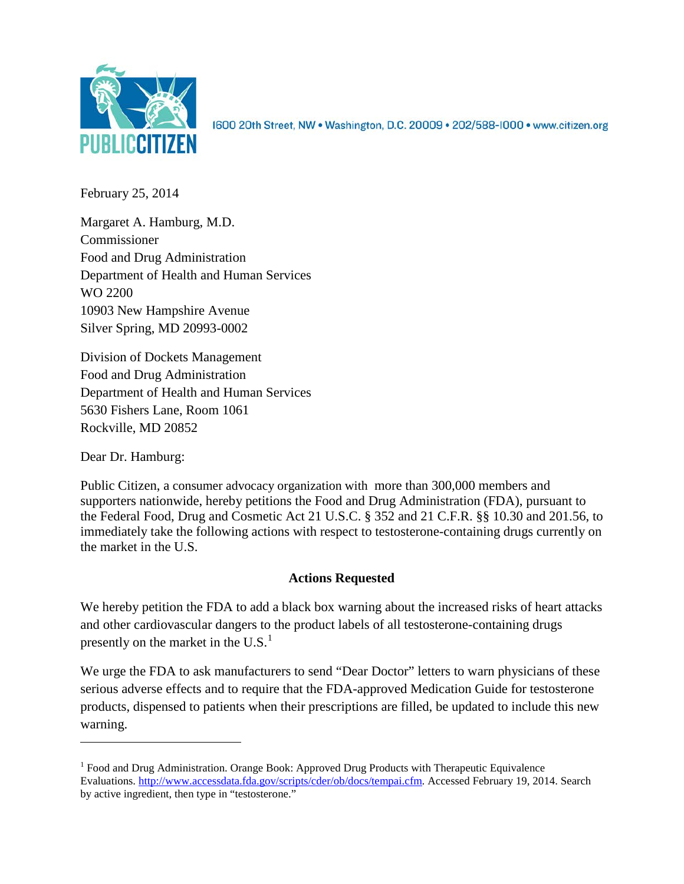

1600 20th Street, NW . Washington, D.C. 20009 . 202/588-1000 . www.citizen.org

February 25, 2014

Margaret A. Hamburg, M.D. Commissioner Food and Drug Administration Department of Health and Human Services WO 2200 10903 New Hampshire Avenue Silver Spring, MD 20993-0002

Division of Dockets Management Food and Drug Administration Department of Health and Human Services 5630 Fishers Lane, Room 1061 Rockville, MD 20852

Dear Dr. Hamburg:

 $\overline{\phantom{a}}$ 

Public Citizen, a consumer advocacy organization with more than 300,000 members and supporters nationwide, hereby petitions the Food and Drug Administration (FDA), pursuant to the Federal Food, Drug and Cosmetic Act 21 U.S.C. § 352 and 21 C.F.R. §§ 10.30 and 201.56, to immediately take the following actions with respect to testosterone-containing drugs currently on the market in the U.S.

## **Actions Requested**

We hereby petition the FDA to add a black box warning about the increased risks of heart attacks and other cardiovascular dangers to the product labels of all testosterone-containing drugs presently on the market in the  $U.S.^1$  $U.S.^1$ 

We urge the FDA to ask manufacturers to send "Dear Doctor" letters to warn physicians of these serious adverse effects and to require that the FDA-approved Medication Guide for testosterone products, dispensed to patients when their prescriptions are filled, be updated to include this new warning.

<span id="page-0-0"></span><sup>&</sup>lt;sup>1</sup> Food and Drug Administration. Orange Book: Approved Drug Products with Therapeutic Equivalence Evaluations. [http://www.accessdata.fda.gov/scripts/cder/ob/docs/tempai.cfm.](http://www.accessdata.fda.gov/scripts/cder/ob/docs/tempai.cfm) Accessed February 19, 2014. Search by active ingredient, then type in "testosterone."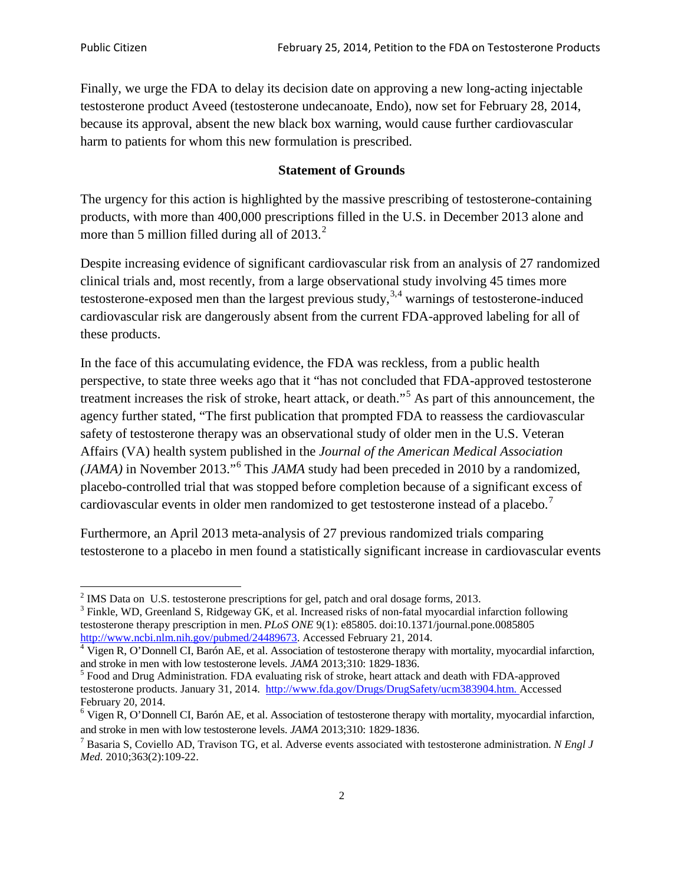Finally, we urge the FDA to delay its decision date on approving a new long-acting injectable testosterone product Aveed (testosterone undecanoate, Endo), now set for February 28, 2014, because its approval, absent the new black box warning, would cause further cardiovascular harm to patients for whom this new formulation is prescribed.

#### **Statement of Grounds**

The urgency for this action is highlighted by the massive prescribing of testosterone-containing products, with more than 400,000 prescriptions filled in the U.S. in December 2013 alone and more than 5 million filled during all of [2](#page-1-0)013.<sup>2</sup>

Despite increasing evidence of significant cardiovascular risk from an analysis of 27 randomized clinical trials and, most recently, from a large observational study involving 45 times more testosterone-exposed men than the largest previous study,  $3,4$  $3,4$  $3,4$  warnings of testosterone-induced cardiovascular risk are dangerously absent from the current FDA-approved labeling for all of these products.

In the face of this accumulating evidence, the FDA was reckless, from a public health perspective, to state three weeks ago that it "has not concluded that FDA-approved testosterone treatment increases the risk of stroke, heart attack, or death."[5](#page-1-3) As part of this announcement, the agency further stated, "The first publication that prompted FDA to reassess the cardiovascular safety of testosterone therapy was an observational study of older men in the U.S. Veteran Affairs (VA) health system published in the *Journal of the American Medical Association (JAMA)* in November 2013."[6](#page-1-4) This *JAMA* study had been preceded in 2010 by a randomized, placebo-controlled trial that was stopped before completion because of a significant excess of cardiovascular events in older men randomized to get testosterone instead of a placebo.[7](#page-1-5)

Furthermore, an April 2013 meta-analysis of 27 previous randomized trials comparing testosterone to a placebo in men found a statistically significant increase in cardiovascular events

<span id="page-1-1"></span><span id="page-1-0"></span><sup>&</sup>lt;sup>2</sup> IMS Data on U.S. testosterone prescriptions for gel, patch and oral dosage forms, 2013.<br><sup>3</sup> Finkle, WD, Greenland S, Ridgeway GK, et al. Increased risks of non-fatal myocardial infarction following testosterone therapy prescription in men. *PLoS ONE* 9(1): e85805. doi:10.1371/journal.pone.0085805  $\frac{http://www.ncbi.nlm.nih.gov/publiced/24489673}{\text{Vigen R, O'Donnell CI, Barón AE, et al. Association of testosterone therapy with mortality, myocardial infarction, }$ 

<span id="page-1-2"></span>and stroke in men with low testosterone levels. *JAMA* 2013;310: 1829-1836.<br><sup>5</sup> Food and Drug Administration. FDA evaluating risk of stroke, heart attack and death with FDA-approved

<span id="page-1-3"></span>testosterone products. January 31, 2014. [http://www.fda.gov/Drugs/DrugSafety/ucm383904.htm.](http://www.fda.gov/Drugs/DrugSafety/ucm383904.htm) Accessed February 20, 2014.

<span id="page-1-4"></span><sup>6</sup> Vigen R, O'Donnell CI, Barón AE, et al. Association of testosterone therapy with mortality, myocardial infarction, and stroke in men with low testosterone levels. *JAMA* 2013;310: 1829-1836.

<span id="page-1-5"></span><sup>7</sup> Basaria S, Coviello AD, Travison TG, et al. Adverse events associated with testosterone administration. *N Engl J Med.* 2010;363(2):109-22.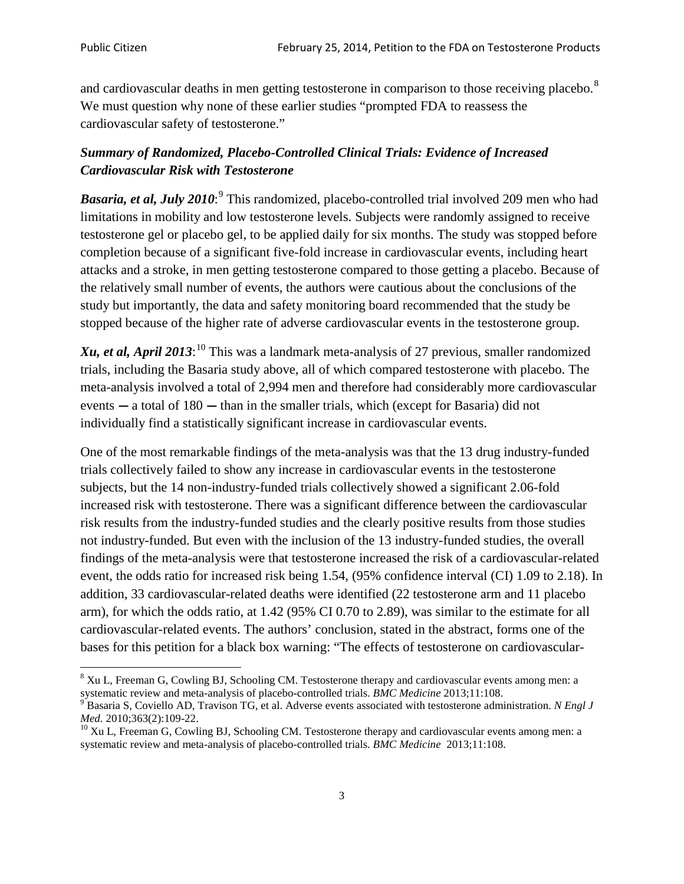and cardiovascular deaths in men getting testosterone in comparison to those receiving placebo.<sup>[8](#page-2-0)</sup> We must question why none of these earlier studies "prompted FDA to reassess the cardiovascular safety of testosterone."

# *Summary of Randomized, Placebo-Controlled Clinical Trials: Evidence of Increased Cardiovascular Risk with Testosterone*

Basaria, et al, July 2010:<sup>[9](#page-2-1)</sup> This randomized, placebo-controlled trial involved 209 men who had limitations in mobility and low testosterone levels. Subjects were randomly assigned to receive testosterone gel or placebo gel, to be applied daily for six months. The study was stopped before completion because of a significant five-fold increase in cardiovascular events, including heart attacks and a stroke, in men getting testosterone compared to those getting a placebo. Because of the relatively small number of events, the authors were cautious about the conclusions of the study but importantly, the data and safety monitoring board recommended that the study be stopped because of the higher rate of adverse cardiovascular events in the testosterone group.

Xu, et al, April 2013:<sup>[10](#page-2-2)</sup> This was a landmark meta-analysis of 27 previous, smaller randomized trials, including the Basaria study above, all of which compared testosterone with placebo. The meta-analysis involved a total of 2,994 men and therefore had considerably more cardiovascular events **—** a total of 180 **—** than in the smaller trials, which (except for Basaria) did not individually find a statistically significant increase in cardiovascular events.

One of the most remarkable findings of the meta-analysis was that the 13 drug industry-funded trials collectively failed to show any increase in cardiovascular events in the testosterone subjects, but the 14 non-industry-funded trials collectively showed a significant 2.06-fold increased risk with testosterone. There was a significant difference between the cardiovascular risk results from the industry-funded studies and the clearly positive results from those studies not industry-funded. But even with the inclusion of the 13 industry-funded studies, the overall findings of the meta-analysis were that testosterone increased the risk of a cardiovascular-related event, the odds ratio for increased risk being 1.54, (95% confidence interval (CI) 1.09 to 2.18). In addition, 33 cardiovascular-related deaths were identified (22 testosterone arm and 11 placebo arm), for which the odds ratio, at 1.42 (95% CI 0.70 to 2.89), was similar to the estimate for all cardiovascular-related events. The authors' conclusion, stated in the abstract, forms one of the bases for this petition for a black box warning: "The effects of testosterone on cardiovascular-

<span id="page-2-0"></span> $8$  Xu L, Freeman G, Cowling BJ, Schooling CM. Testosterone therapy and cardiovascular events among men: a systematic review and meta-analysis of placebo-controlled trials. *BMC Medicine* 2013;11:108.

<span id="page-2-1"></span>Basaria S, Coviello AD, Travison TG, et al. Adverse events associated with testosterone administration. *N Engl J Med.* 2010;363(2):109-22.<br><sup>10</sup> Xu L, Freeman G, Cowling BJ, Schooling CM. Testosterone therapy and cardiovascular events among men: a

<span id="page-2-2"></span>systematic review and meta-analysis of placebo-controlled trials. *BMC Medicine* 2013;11:108.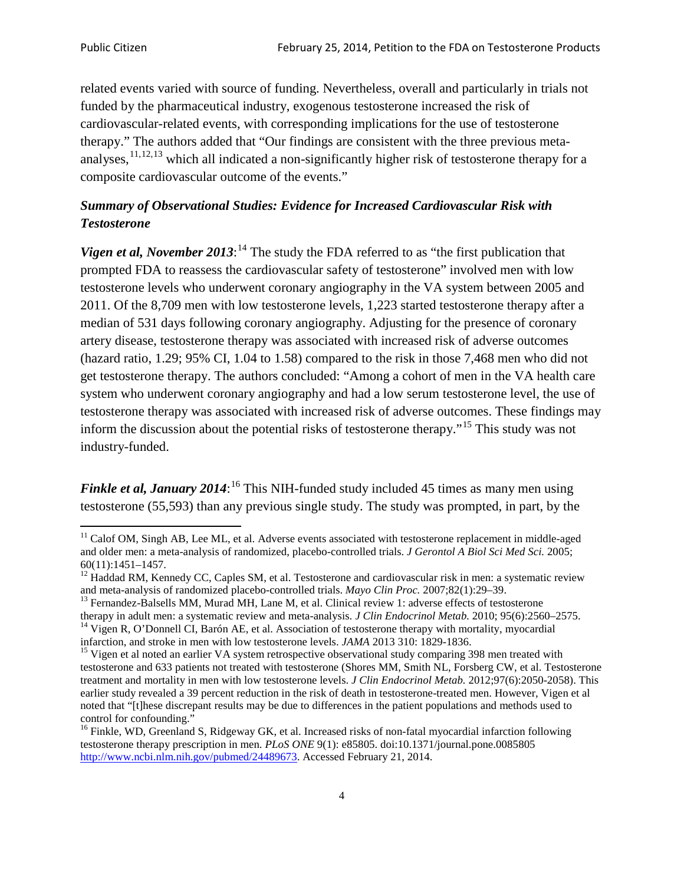related events varied with source of funding. Nevertheless, overall and particularly in trials not funded by the pharmaceutical industry, exogenous testosterone increased the risk of cardiovascular-related events, with corresponding implications for the use of testosterone therapy." The authors added that "Our findings are consistent with the three previous meta-analyses, <sup>[11](#page-3-0),[12,](#page-3-1)[13](#page-3-2)</sup> which all indicated a non-significantly higher risk of testosterone therapy for a composite cardiovascular outcome of the events."

# *Summary of Observational Studies: Evidence for Increased Cardiovascular Risk with Testosterone*

Vigen et al, November 2013:<sup>[14](#page-3-3)</sup> The study the FDA referred to as "the first publication that prompted FDA to reassess the cardiovascular safety of testosterone" involved men with low testosterone levels who underwent coronary angiography in the VA system between 2005 and 2011. Of the 8,709 men with low testosterone levels, 1,223 started testosterone therapy after a median of 531 days following coronary angiography. Adjusting for the presence of coronary artery disease, testosterone therapy was associated with increased risk of adverse outcomes (hazard ratio, 1.29; 95% CI, 1.04 to 1.58) compared to the risk in those 7,468 men who did not get testosterone therapy. The authors concluded: "Among a cohort of men in the VA health care system who underwent coronary angiography and had a low serum testosterone level, the use of testosterone therapy was associated with increased risk of adverse outcomes. These findings may inform the discussion about the potential risks of testosterone therapy."<sup>[15](#page-3-4)</sup> This study was not industry-funded.

Finkle et al, January 2014:<sup>[16](#page-3-5)</sup> This NIH-funded study included 45 times as many men using testosterone (55,593) than any previous single study. The study was prompted, in part, by the

<span id="page-3-0"></span> $11$  Calof OM, Singh AB, Lee ML, et al. Adverse events associated with testosterone replacement in middle-aged and older men: a meta-analysis of randomized, placebo-controlled trials. *J Gerontol A Biol Sci Med Sci.* 2005;

<span id="page-3-1"></span><sup>60(11):1451–1457.&</sup>lt;br><sup>12</sup> Haddad RM, Kennedy CC, Caples SM, et al. Testosterone and cardiovascular risk in men: a systematic review and meta-analysis of randomized placebo-controlled trials. *Mayo Clin Proc.* 2007;82(1):29–3

<span id="page-3-2"></span><sup>&</sup>lt;sup>13</sup> Fernandez-Balsells MM, Murad MH, Lane M, et al. Clinical review 1: adverse effects of testosterone

<span id="page-3-3"></span>therapy in adult men: a systematic review and meta-analysis. *J Clin Endocrinol Metab*. 2010; 95(6):2560–2575.<br><sup>14</sup> Vigen R, O'Donnell CI, Barón AE, et al. Association of testosterone therapy with mortality, myocardial inf

<span id="page-3-4"></span><sup>&</sup>lt;sup>15</sup> Vigen et al noted an earlier VA system retrospective observational study comparing 398 men treated with testosterone and 633 patients not treated with testosterone (Shores MM, Smith NL, Forsberg CW, et al. Testosterone treatment and mortality in men with low testosterone levels. *J Clin Endocrinol Metab.* 2012;97(6):2050-2058). This earlier study revealed a 39 percent reduction in the risk of death in testosterone-treated men. However, Vigen et al noted that "[t]hese discrepant results may be due to differences in the patient populations and methods used to control for confounding."

<span id="page-3-5"></span><sup>&</sup>lt;sup>16</sup> Finkle, WD, Greenland S, Ridgeway GK, et al. Increased risks of non-fatal myocardial infarction following testosterone therapy prescription in men. *PLoS ONE* 9(1): e85805. doi:10.1371/journal.pone.0085805 [http://www.ncbi.nlm.nih.gov/pubmed/24489673.](http://www.ncbi.nlm.nih.gov/pubmed/24489673) Accessed February 21, 2014.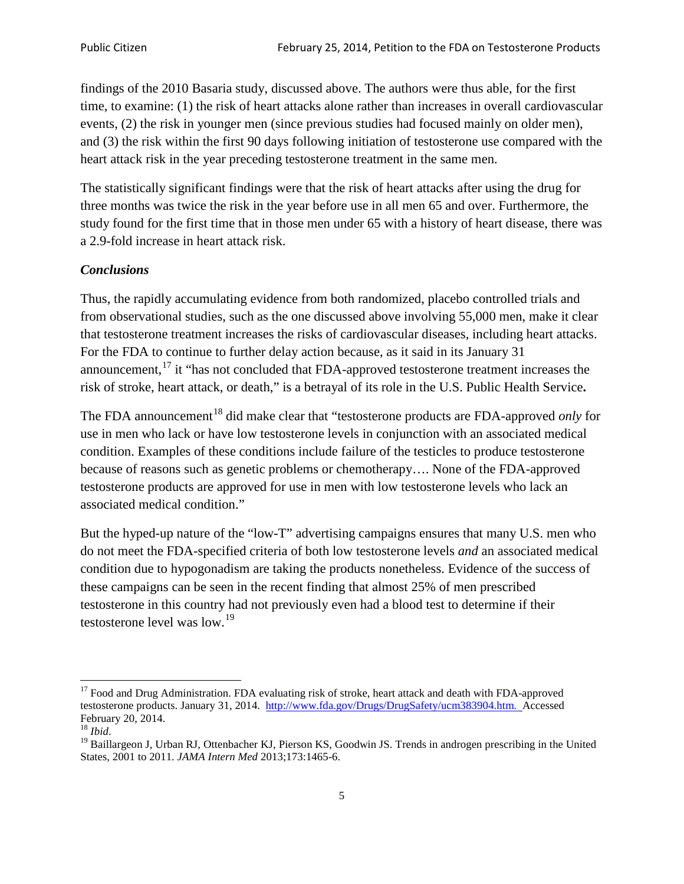findings of the 2010 Basaria study, discussed above. The authors were thus able, for the first time, to examine: (1) the risk of heart attacks alone rather than increases in overall cardiovascular events, (2) the risk in younger men (since previous studies had focused mainly on older men), and (3) the risk within the first 90 days following initiation of testosterone use compared with the heart attack risk in the year preceding testosterone treatment in the same men.

The statistically significant findings were that the risk of heart attacks after using the drug for three months was twice the risk in the year before use in all men 65 and over. Furthermore, the study found for the first time that in those men under 65 with a history of heart disease, there was a 2.9-fold increase in heart attack risk.

#### *Conclusions*

Thus, the rapidly accumulating evidence from both randomized, placebo controlled trials and from observational studies, such as the one discussed above involving 55,000 men, make it clear that testosterone treatment increases the risks of cardiovascular diseases, including heart attacks. For the FDA to continue to further delay action because, as it said in its January 31 announcement,  $17$  it "has not concluded that FDA-approved testosterone treatment increases the risk of stroke, heart attack, or death," is a betrayal of its role in the U.S. Public Health Service**.**

The FDA announcement<sup>[18](#page-4-1)</sup> did make clear that "testosterone products are FDA-approved *only* for use in men who lack or have low testosterone levels in conjunction with an associated medical condition. Examples of these conditions include failure of the testicles to produce testosterone because of reasons such as genetic problems or chemotherapy…. None of the FDA-approved testosterone products are approved for use in men with low testosterone levels who lack an associated medical condition."

But the hyped-up nature of the "low-T" advertising campaigns ensures that many U.S. men who do not meet the FDA-specified criteria of both low testosterone levels *and* an associated medical condition due to hypogonadism are taking the products nonetheless. Evidence of the success of these campaigns can be seen in the recent finding that almost 25% of men prescribed testosterone in this country had not previously even had a blood test to determine if their testosterone level was low.[19](#page-4-2)

<span id="page-4-0"></span><sup>&</sup>lt;sup>17</sup> Food and Drug Administration. FDA evaluating risk of stroke, heart attack and death with FDA-approved testosterone products. January 31, 2014. [http://www.fda.gov/Drugs/DrugSafety/ucm383904.htm.](http://www.fda.gov/Drugs/DrugSafety/ucm383904.htm) Accessed February 20, 2014.<br><sup>18</sup> *Ibid.* 

<span id="page-4-2"></span><span id="page-4-1"></span><sup>&</sup>lt;sup>19</sup> Baillargeon J, Urban RJ, Ottenbacher KJ, Pierson KS, Goodwin JS. Trends in androgen prescribing in the United States, 2001 to 2011. *JAMA Intern Med* 2013;173:1465-6.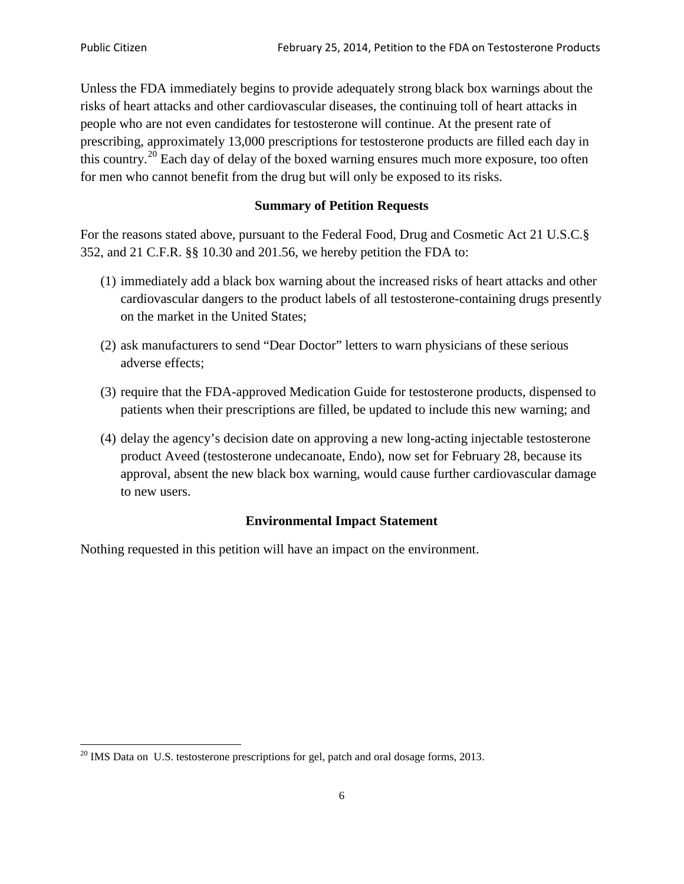Unless the FDA immediately begins to provide adequately strong black box warnings about the risks of heart attacks and other cardiovascular diseases, the continuing toll of heart attacks in people who are not even candidates for testosterone will continue. At the present rate of prescribing, approximately 13,000 prescriptions for testosterone products are filled each day in this country.<sup>[20](#page-5-0)</sup> Each day of delay of the boxed warning ensures much more exposure, too often for men who cannot benefit from the drug but will only be exposed to its risks.

## **Summary of Petition Requests**

For the reasons stated above, pursuant to the Federal Food, Drug and Cosmetic Act 21 U.S.C.§ 352, and 21 C.F.R. §§ 10.30 and 201.56, we hereby petition the FDA to:

- (1) immediately add a black box warning about the increased risks of heart attacks and other cardiovascular dangers to the product labels of all testosterone-containing drugs presently on the market in the United States;
- (2) ask manufacturers to send "Dear Doctor" letters to warn physicians of these serious adverse effects;
- (3) require that the FDA-approved Medication Guide for testosterone products, dispensed to patients when their prescriptions are filled, be updated to include this new warning; and
- (4) delay the agency's decision date on approving a new long-acting injectable testosterone product Aveed (testosterone undecanoate, Endo), now set for February 28, because its approval, absent the new black box warning, would cause further cardiovascular damage to new users.

### **Environmental Impact Statement**

Nothing requested in this petition will have an impact on the environment.

<span id="page-5-0"></span> $^{20}$  IMS Data on U.S. testosterone prescriptions for gel, patch and oral dosage forms, 2013.